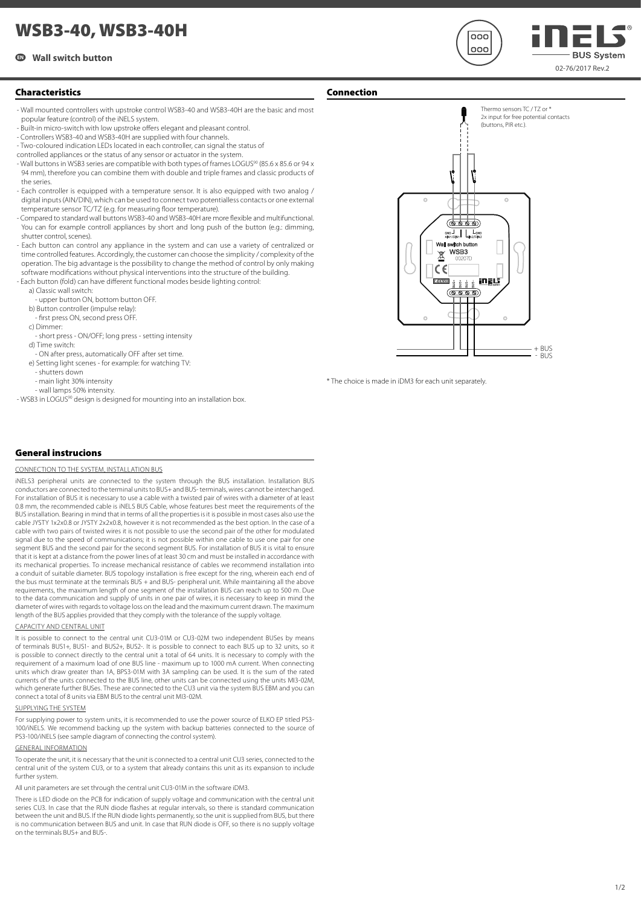# **WSB3-40, WSB3-40H**

## **EN Wall switch button**



- Wall mounted controllers with upstroke control WSB3-40 and WSB3-40H are the basic and most popular feature (control) of the iNELS system.
- Built-in micro-switch with low upstroke offers elegant and pleasant control.
- Controllers WSB3-40 and WSB3-40H are supplied with four channels.
- Two-coloured indication LEDs located in each controller, can signal the status of
- controlled appliances or the status of any sensor or actuator in the system.
- Wall buttons in WSB3 series are compatible with both types of frames LOGUS<sup>90</sup> (85.6 x 85.6 or 94 x 94 mm), therefore you can combine them with double and triple frames and classic products of the series.
- Each controller is equipped with a temperature sensor. It is also equipped with two analog / digital inputs (AIN/DIN), which can be used to connect two potentialless contacts or one external temperature sensor TC/TZ (e.g. for measuring floor temperature).
- Compared to standard wall buttons WSB3-40 and WSB3-40H are more flexible and multifunctional. You can for example controll appliances by short and long push of the button (e.g.: dimming, shutter control, scenes).
- Each button can control any appliance in the system and can use a variety of centralized or time controlled features. Accordingly, the customer can choose the simplicity / complexity of the operation. The big advantage is the possibility to change the method of control by only making software modifications without physical interventions into the structure of the building.
- Each button (fold) can have different functional modes beside lighting control
	- a) Classic wall switch:
	- upper button ON, bottom button OFF.
	- b) Button controller (impulse relay):
	- fi rst press ON, second press OFF.
	- c) Dimmer:
	- short press ON/OFF; long press setting intensity d) Time switch:
	- ON after press, automatically OFF after set time.
	- e) Setting light scenes for example: for watching TV:
	- shutters down
	- main light 30% intensity
	- wall lamps 50% intensity.
- WSB3 in LOGUS<sup>90</sup> design is designed for mounting into an installation box.





 $nnc$  $000$ 

02-76/2017 Rev.2

**BUS System** 

\* The choice is made in iDM3 for each unit separately.

## **General instrucions**

#### CONNECTION TO THE SYSTEM, INSTALL ATION BLIS

iNELS3 peripheral units are connected to the system through the BUS installation. Installation BUS conductors are connected to the terminal units to BUS+ and BUS- terminals, wires cannot be interchanged. For installation of BUS it is necessary to use a cable with a twisted pair of wires with a diameter of at least 0.8 mm, the recommended cable is iNELS BUS Cable, whose features best meet the requirements of the BUS installation. Bearing in mind that in terms of all the properties is it is possible in most cases also use the cable JYSTY 1x2x0.8 or JYSTY 2x2x0.8, however it is not recommended as the best option. In the case of a cable with two pairs of twisted wires it is not possible to use the second pair of the other for modulated signal due to the speed of communications; it is not possible within one cable to use one pair for one segment BUS and the second pair for the second segment BUS. For installation of BUS it is vital to ensure that it is kept at a distance from the power lines of at least 30 cm and must be installed in accordance with its mechanical properties. To increase mechanical resistance of cables we recommend installation into a conduit of suitable diameter. BUS topology installation is free except for the ring, wherein each end of the bus must terminate at the terminals BUS + and BUS- peripheral unit. While maintaining all the above requirements, the maximum length of one segment of the installation BUS can reach up to 500 m. Due to the data communication and supply of units in one pair of wires, it is necessary to keep in mind the diameter of wires with regards to voltage loss on the lead and the maximum current drawn. The maximum length of the BUS applies provided that they comply with the tolerance of the supply voltage.

#### CAPACITY AND CENTRAL UNIT

It is possible to connect to the central unit CU3-01M or CU3-02M two independent BUSes by means of terminals BUS1+, BUS1- and BUS2+, BUS2-. It is possible to connect to each BUS up to 32 units, so it is possible to connect directly to the central unit a total of 64 units. It is necessary to comply with the requirement of a maximum load of one BUS line - maximum up to 1000 mA current. When connecting units which draw greater than 1A, BPS3-01M with 3A sampling can be used. It is the sum of the rated currents of the units connected to the BUS line, other units can be connected using the units MI3-02M, which generate further BUSes. These are connected to the CU3 unit via the system BUS EBM and you can connect a total of 8 units via EBM BUS to the central unit MI3-02M.

#### SUPPLYING THE SYSTEM

For supplying power to system units, it is recommended to use the power source of ELKO EP titled PS3- 100/iNELS. We recommend backing up the system with backup batteries connected to the source of PS3-100/iNELS (see sample diagram of connecting the control system).

### GENERAL INFORMATION

To operate the unit, it is necessary that the unit is connected to a central unit CU3 series, connected to the central unit of the system CU3, or to a system that already contains this unit as its expansion to include further system.

All unit parameters are set through the central unit CU3-01M in the software iDM3.

There is LED diode on the PCB for indication of supply voltage and communication with the central unit series CU3. In case that the RUN diode flashes at regular intervals, so there is standard communication between the unit and BUS. If the RUN diode lights permanently, so the unit is supplied from BUS, but there is no communication between BUS and unit. In case that RUN diode is OFF, so there is no supply voltage on the terminals BUS+ and BUS-.